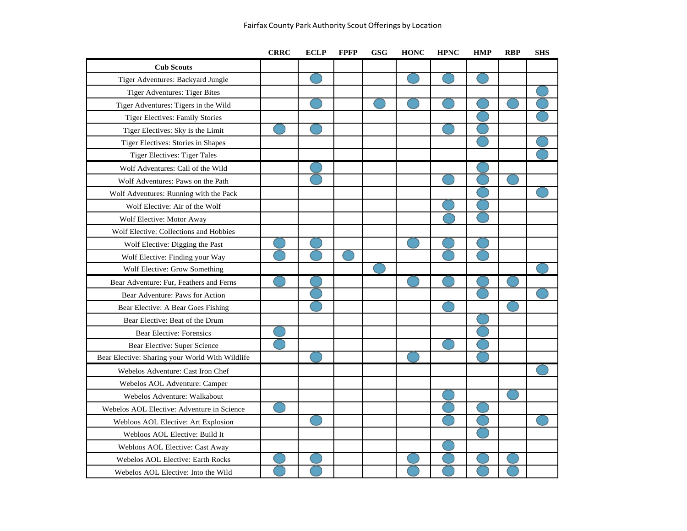|                                                 | <b>CRRC</b> | <b>ECLP</b> | <b>FPFP</b> | <b>GSG</b> | <b>HONC</b> | <b>HPNC</b> | <b>HMP</b> | <b>RBP</b> | <b>SHS</b> |
|-------------------------------------------------|-------------|-------------|-------------|------------|-------------|-------------|------------|------------|------------|
| <b>Cub Scouts</b>                               |             |             |             |            |             |             |            |            |            |
| Tiger Adventures: Backyard Jungle               |             |             |             |            |             |             |            |            |            |
| <b>Tiger Adventures: Tiger Bites</b>            |             |             |             |            |             |             |            |            |            |
| Tiger Adventures: Tigers in the Wild            |             |             |             |            |             |             |            |            |            |
| <b>Tiger Electives: Family Stories</b>          |             |             |             |            |             |             |            |            |            |
| Tiger Electives: Sky is the Limit               |             |             |             |            |             |             |            |            |            |
| Tiger Electives: Stories in Shapes              |             |             |             |            |             |             |            |            |            |
| <b>Tiger Electives: Tiger Tales</b>             |             |             |             |            |             |             |            |            |            |
| Wolf Adventures: Call of the Wild               |             |             |             |            |             |             |            |            |            |
| Wolf Adventures: Paws on the Path               |             |             |             |            |             |             |            |            |            |
| Wolf Adventures: Running with the Pack          |             |             |             |            |             |             |            |            |            |
| Wolf Elective: Air of the Wolf                  |             |             |             |            |             |             |            |            |            |
| Wolf Elective: Motor Away                       |             |             |             |            |             |             |            |            |            |
| Wolf Elective: Collections and Hobbies          |             |             |             |            |             |             |            |            |            |
| Wolf Elective: Digging the Past                 |             |             |             |            |             |             |            |            |            |
| Wolf Elective: Finding your Way                 |             |             |             |            |             |             |            |            |            |
| Wolf Elective: Grow Something                   |             |             |             |            |             |             |            |            |            |
| Bear Adventure: Fur, Feathers and Ferns         |             |             |             |            |             |             |            |            |            |
| Bear Adventure: Paws for Action                 |             |             |             |            |             |             |            |            |            |
| Bear Elective: A Bear Goes Fishing              |             |             |             |            |             |             |            |            |            |
| Bear Elective: Beat of the Drum                 |             |             |             |            |             |             |            |            |            |
| <b>Bear Elective: Forensics</b>                 |             |             |             |            |             |             |            |            |            |
| Bear Elective: Super Science                    |             |             |             |            |             |             |            |            |            |
| Bear Elective: Sharing your World With Wildlife |             |             |             |            |             |             |            |            |            |
| Webelos Adventure: Cast Iron Chef               |             |             |             |            |             |             |            |            |            |
| Webelos AOL Adventure: Camper                   |             |             |             |            |             |             |            |            |            |
| Webelos Adventure: Walkabout                    |             |             |             |            |             |             |            |            |            |
| Webelos AOL Elective: Adventure in Science      |             |             |             |            |             |             |            |            |            |
| Webloos AOL Elective: Art Explosion             |             |             |             |            |             |             |            |            |            |
| Webloos AOL Elective: Build It                  |             |             |             |            |             |             |            |            |            |
| Webloos AOL Elective: Cast Away                 |             |             |             |            |             |             |            |            |            |
| Webelos AOL Elective: Earth Rocks               |             |             |             |            |             |             |            |            |            |
| Webelos AOL Elective: Into the Wild             |             |             |             |            |             |             |            |            |            |